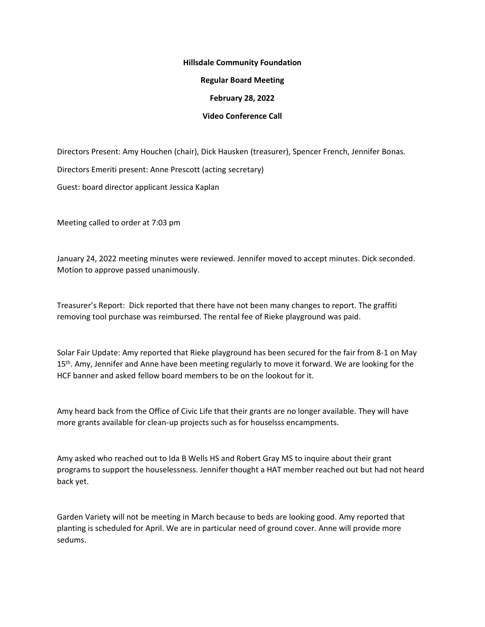## **Hillsdale Community Foundation**

**Regular Board Meeting**

**February 28, 2022**

## **Video Conference Call**

Directors Present: Amy Houchen (chair), Dick Hausken (treasurer), Spencer French, Jennifer Bonas.

Directors Emeriti present: Anne Prescott (acting secretary)

Guest: board director applicant Jessica Kaplan

Meeting called to order at 7:03 pm

January 24, 2022 meeting minutes were reviewed. Jennifer moved to accept minutes. Dick seconded. Motion to approve passed unanimously.

Treasurer's Report: Dick reported that there have not been many changes to report. The graffiti removing tool purchase was reimbursed. The rental fee of Rieke playground was paid.

Solar Fair Update: Amy reported that Rieke playground has been secured for the fair from 8-1 on May 15<sup>th</sup>. Amy, Jennifer and Anne have been meeting regularly to move it forward. We are looking for the HCF banner and asked fellow board members to be on the lookout for it.

Amy heard back from the Office of Civic Life that their grants are no longer available. They will have more grants available for clean-up projects such as for houselsss encampments.

Amy asked who reached out to Ida B Wells HS and Robert Gray MS to inquire about their grant programs to support the houselessness. Jennifer thought a HAT member reached out but had not heard back yet.

Garden Variety will not be meeting in March because to beds are looking good. Amy reported that planting is scheduled for April. We are in particular need of ground cover. Anne will provide more sedums.